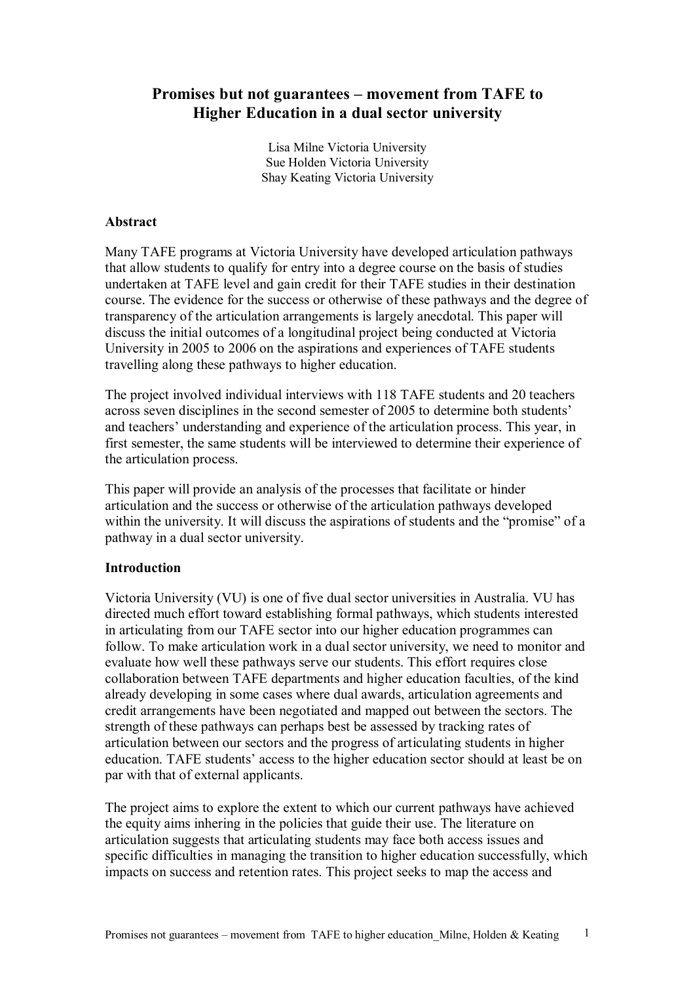# **Promises but not guarantees – movement from TAFE to Higher Education in a dual sector university**

Lisa Milne Victoria University Sue Holden Victoria University Shay Keating Victoria University

## **Abstract**

Many TAFE programs at Victoria University have developed articulation pathways that allow students to qualify for entry into a degree course on the basis of studies undertaken at TAFE level and gain credit for their TAFE studies in their destination course. The evidence for the success or otherwise of these pathways and the degree of transparency of the articulation arrangements is largely anecdotal. This paper will discuss the initial outcomes of a longitudinal project being conducted at Victoria University in 2005 to 2006 on the aspirations and experiences of TAFE students travelling along these pathways to higher education.

The project involved individual interviews with 118 TAFE students and 20 teachers across seven disciplines in the second semester of 2005 to determine both students' and teachers' understanding and experience of the articulation process. This year, in first semester, the same students will be interviewed to determine their experience of the articulation process.

This paper will provide an analysis of the processes that facilitate or hinder articulation and the success or otherwise of the articulation pathways developed within the university. It will discuss the aspirations of students and the "promise" of a pathway in a dual sector university.

## **Introduction**

Victoria University (VU) is one of five dual sector universities in Australia. VU has directed much effort toward establishing formal pathways, which students interested in articulating from our TAFE sector into our higher education programmes can follow. To make articulation work in a dual sector university, we need to monitor and evaluate how well these pathways serve our students. This effort requires close collaboration between TAFE departments and higher education faculties, of the kind already developing in some cases where dual awards, articulation agreements and credit arrangements have been negotiated and mapped out between the sectors. The strength of these pathways can perhaps best be assessed by tracking rates of articulation between our sectors and the progress of articulating students in higher education. TAFE students' access to the higher education sector should at least be on par with that of external applicants.

The project aims to explore the extent to which our current pathways have achieved the equity aims inhering in the policies that guide their use. The literature on articulation suggests that articulating students may face both access issues and specific difficulties in managing the transition to higher education successfully, which impacts on success and retention rates. This project seeks to map the access and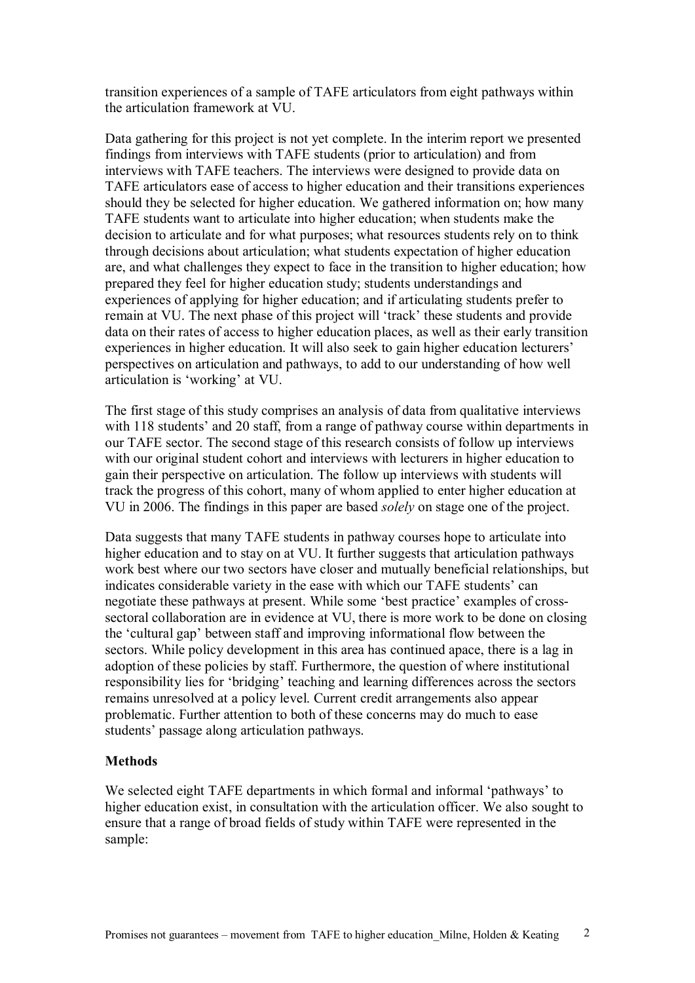transition experiences of a sample of TAFE articulators from eight pathways within the articulation framework at VU.

Data gathering for this project is not yet complete. In the interim report we presented findings from interviews with TAFE students (prior to articulation) and from interviews with TAFE teachers. The interviews were designed to provide data on TAFE articulators ease of access to higher education and their transitions experiences should they be selected for higher education. We gathered information on; how many TAFE students want to articulate into higher education; when students make the decision to articulate and for what purposes; what resources students rely on to think through decisions about articulation; what students expectation of higher education are, and what challenges they expect to face in the transition to higher education; how prepared they feel for higher education study; students understandings and experiences of applying for higher education; and if articulating students prefer to remain at VU. The next phase of this project will 'track' these students and provide data on their rates of access to higher education places, as well as their early transition experiences in higher education. It will also seek to gain higher education lecturers' perspectives on articulation and pathways, to add to our understanding of how well articulation is 'working' at VU.

The first stage of this study comprises an analysis of data from qualitative interviews with 118 students' and 20 staff, from a range of pathway course within departments in our TAFE sector. The second stage of this research consists of follow up interviews with our original student cohort and interviews with lecturers in higher education to gain their perspective on articulation. The follow up interviews with students will track the progress of this cohort, many of whom applied to enter higher education at VU in 2006. The findings in this paper are based *solely* on stage one of the project.

Data suggests that many TAFE students in pathway courses hope to articulate into higher education and to stay on at VU. It further suggests that articulation pathways work best where our two sectors have closer and mutually beneficial relationships, but indicates considerable variety in the ease with which our TAFE students' can negotiate these pathways at present. While some 'best practice' examples of cross sectoral collaboration are in evidence at VU, there is more work to be done on closing the 'cultural gap' between staff and improving informational flow between the sectors. While policy development in this area has continued apace, there is a lag in adoption of these policies by staff. Furthermore, the question of where institutional responsibility lies for 'bridging' teaching and learning differences across the sectors remains unresolved at a policy level. Current credit arrangements also appear problematic. Further attention to both of these concerns may do much to ease students' passage along articulation pathways.

## **Methods**

We selected eight TAFE departments in which formal and informal 'pathways' to higher education exist, in consultation with the articulation officer. We also sought to ensure that a range of broad fields of study within TAFE were represented in the sample: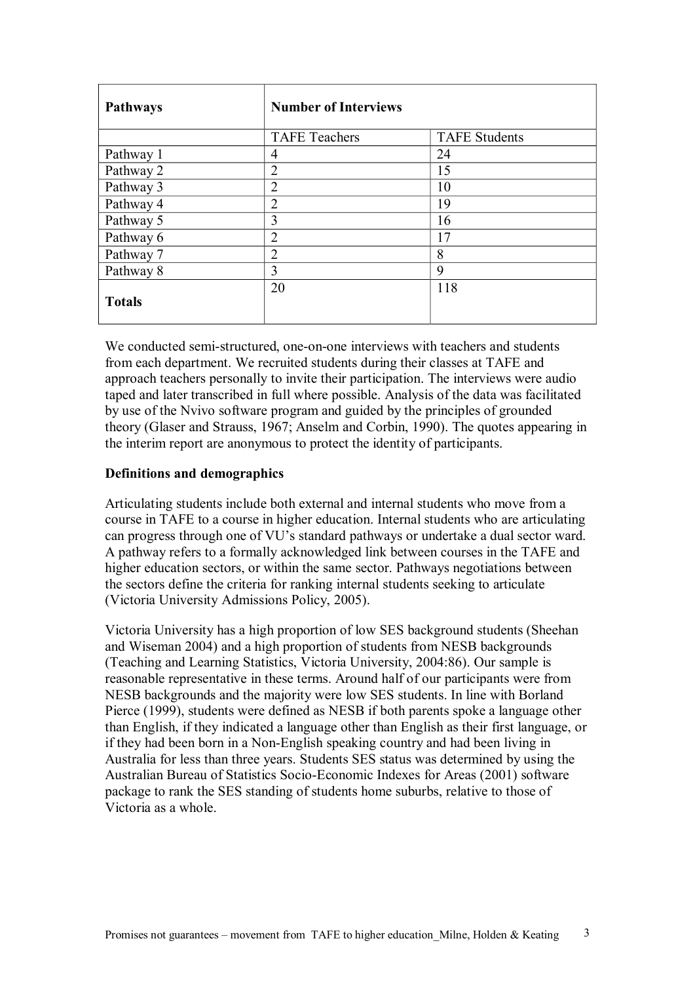| <b>Pathways</b> | <b>Number of Interviews</b> |                      |
|-----------------|-----------------------------|----------------------|
|                 | <b>TAFE Teachers</b>        | <b>TAFE Students</b> |
| Pathway 1       | 4                           | 24                   |
| Pathway 2       | $\overline{2}$              | 15                   |
| Pathway 3       | $\overline{2}$              | 10                   |
| Pathway 4       | $\overline{2}$              | 19                   |
| Pathway 5       | 3                           | 16                   |
| Pathway 6       | $\overline{2}$              | 17                   |
| Pathway 7       | $\overline{2}$              | 8                    |
| Pathway 8       | 3                           | 9                    |
| <b>Totals</b>   | 20                          | 118                  |

We conducted semi-structured, one-on-one interviews with teachers and students from each department. We recruited students during their classes at TAFE and approach teachers personally to invite their participation. The interviews were audio taped and later transcribed in full where possible. Analysis of the data was facilitated by use of the Nvivo software program and guided by the principles of grounded theory (Glaser and Strauss, 1967; Anselm and Corbin, 1990). The quotes appearing in the interim report are anonymous to protect the identity of participants.

## **Definitions and demographics**

Articulating students include both external and internal students who move from a course in TAFE to a course in higher education. Internal students who are articulating can progress through one of VU's standard pathways or undertake a dual sector ward. A pathway refers to a formally acknowledged link between courses in the TAFE and higher education sectors, or within the same sector. Pathways negotiations between the sectors define the criteria for ranking internal students seeking to articulate (Victoria University Admissions Policy, 2005).

Victoria University has a high proportion of low SES background students (Sheehan and Wiseman 2004) and a high proportion of students from NESB backgrounds (Teaching and Learning Statistics, Victoria University, 2004:86). Our sample is reasonable representative in these terms. Around half of our participants were from NESB backgrounds and the majority were low SES students. In line with Borland Pierce (1999), students were defined as NESB if both parents spoke a language other than English, if they indicated a language other than English as their first language, or if they had been born in a Non-English speaking country and had been living in Australia for less than three years. Students SES status was determined by using the Australian Bureau of Statistics Socio-Economic Indexes for Areas (2001) software package to rank the SES standing of students home suburbs, relative to those of Victoria as a whole.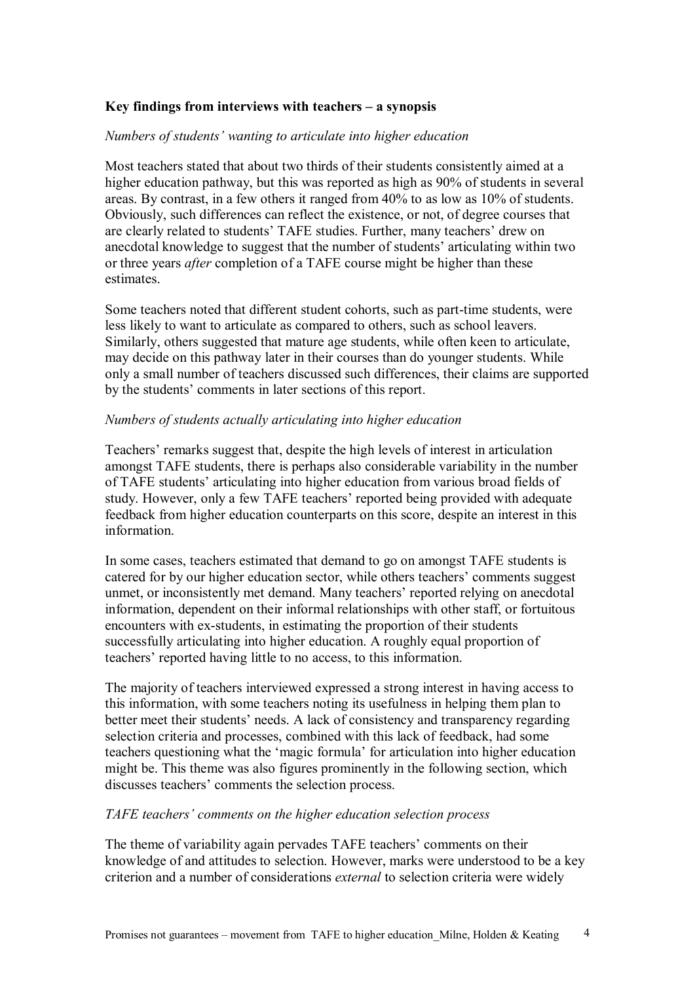## **Key findings from interviews with teachers – a synopsis**

## *Numbers of students' wanting to articulate into higher education*

Most teachers stated that about two thirds of their students consistently aimed at a higher education pathway, but this was reported as high as 90% of students in several areas. By contrast, in a few others it ranged from 40% to as low as 10% of students. Obviously, such differences can reflect the existence, or not, of degree courses that are clearly related to students' TAFE studies. Further, many teachers' drew on anecdotal knowledge to suggest that the number of students' articulating within two or three years *after* completion of a TAFE course might be higher than these estimates.

Some teachers noted that different student cohorts, such as part-time students, were less likely to want to articulate as compared to others, such as school leavers. Similarly, others suggested that mature age students, while often keen to articulate, may decide on this pathway later in their courses than do younger students. While only a small number of teachers discussed such differences, their claims are supported by the students' comments in later sections of this report.

#### *Numbers of students actually articulating into higher education*

Teachers' remarks suggest that, despite the high levels of interest in articulation amongst TAFE students, there is perhaps also considerable variability in the number of TAFE students' articulating into higher education from various broad fields of study. However, only a few TAFE teachers' reported being provided with adequate feedback from higher education counterparts on this score, despite an interest in this information.

In some cases, teachers estimated that demand to go on amongst TAFE students is catered for by our higher education sector, while others teachers' comments suggest unmet, or inconsistently met demand. Many teachers' reported relying on anecdotal information, dependent on their informal relationships with other staff, or fortuitous encounters with ex-students, in estimating the proportion of their students successfully articulating into higher education. A roughly equal proportion of teachers' reported having little to no access, to this information.

The majority of teachers interviewed expressed a strong interest in having access to this information, with some teachers noting its usefulness in helping them plan to better meet their students' needs. A lack of consistency and transparency regarding selection criteria and processes, combined with this lack of feedback, had some teachers questioning what the 'magic formula' for articulation into higher education might be. This theme was also figures prominently in the following section, which discusses teachers' comments the selection process.

## *TAFE teachers' comments on the higher education selection process*

The theme of variability again pervades TAFE teachers' comments on their knowledge of and attitudes to selection. However, marks were understood to be a key criterion and a number of considerations *external* to selection criteria were widely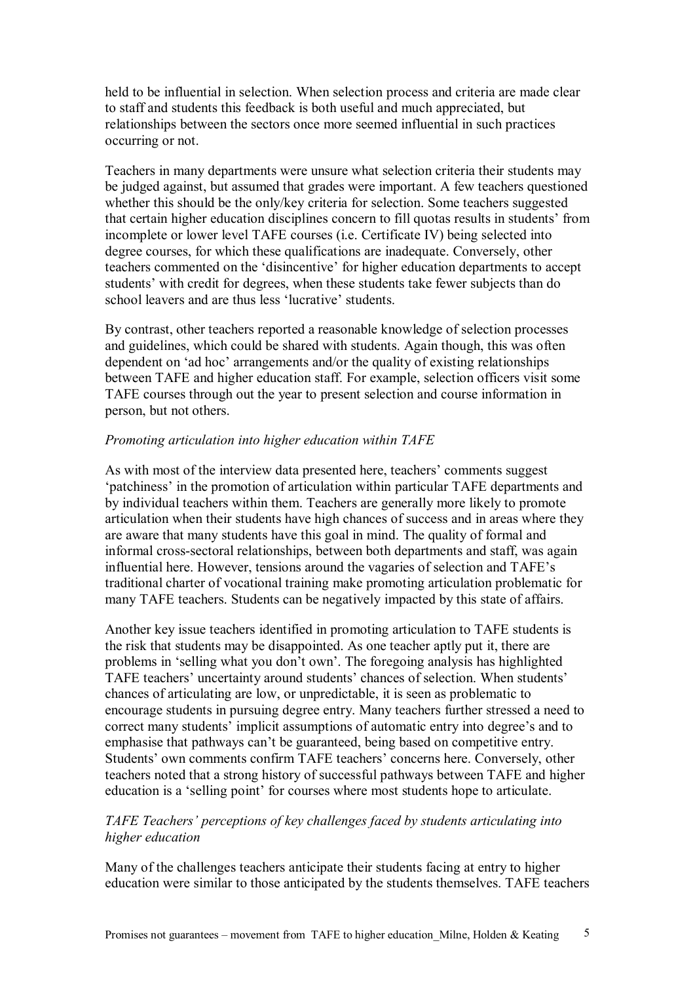held to be influential in selection. When selection process and criteria are made clear to staff and students this feedback is both useful and much appreciated, but relationships between the sectors once more seemed influential in such practices occurring or not.

Teachers in many departments were unsure what selection criteria their students may be judged against, but assumed that grades were important. A few teachers questioned whether this should be the only/key criteria for selection. Some teachers suggested that certain higher education disciplines concern to fill quotas results in students' from incomplete or lower level TAFE courses (i.e. Certificate IV) being selected into degree courses, for which these qualifications are inadequate. Conversely, other teachers commented on the 'disincentive' for higher education departments to accept students' with credit for degrees, when these students take fewer subjects than do school leavers and are thus less 'lucrative' students.

By contrast, other teachers reported a reasonable knowledge of selection processes and guidelines, which could be shared with students. Again though, this was often dependent on 'ad hoc' arrangements and/or the quality of existing relationships between TAFE and higher education staff. For example, selection officers visit some TAFE courses through out the year to present selection and course information in person, but not others.

## *Promoting articulation into higher education within TAFE*

As with most of the interview data presented here, teachers' comments suggest 'patchiness' in the promotion of articulation within particular TAFE departments and by individual teachers within them. Teachers are generally more likely to promote articulation when their students have high chances of success and in areas where they are aware that many students have this goal in mind. The quality of formal and informal cross-sectoral relationships, between both departments and staff, was again influential here. However, tensions around the vagaries of selection and TAFE's traditional charter of vocational training make promoting articulation problematic for many TAFE teachers. Students can be negatively impacted by this state of affairs.

Another key issue teachers identified in promoting articulation to TAFE students is the risk that students may be disappointed. As one teacher aptly put it, there are problems in 'selling what you don't own'. The foregoing analysis has highlighted TAFE teachers' uncertainty around students' chances of selection. When students' chances of articulating are low, or unpredictable, it is seen as problematic to encourage students in pursuing degree entry. Many teachers further stressed a need to correct many students' implicit assumptions of automatic entry into degree's and to emphasise that pathways can't be guaranteed, being based on competitive entry. Students' own comments confirm TAFE teachers' concerns here. Conversely, other teachers noted that a strong history of successful pathways between TAFE and higher education is a 'selling point' for courses where most students hope to articulate.

## *TAFE Teachers' perceptions of key challenges faced by students articulating into higher education*

Many of the challenges teachers anticipate their students facing at entry to higher education were similar to those anticipated by the students themselves. TAFE teachers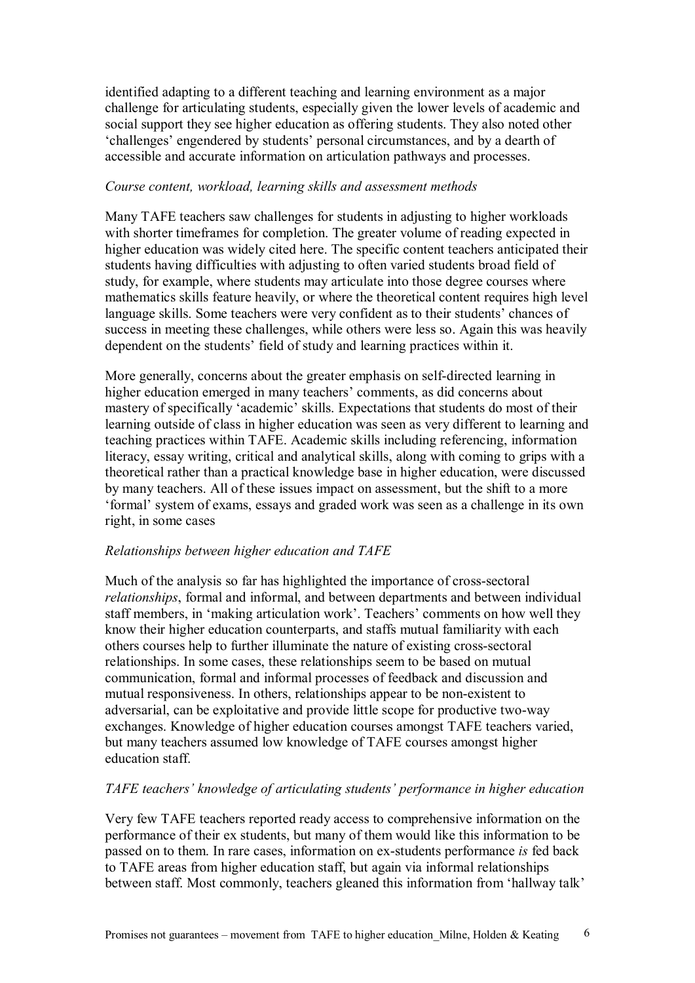identified adapting to a different teaching and learning environment as a major challenge for articulating students, especially given the lower levels of academic and social support they see higher education as offering students. They also noted other 'challenges' engendered by students' personal circumstances, and by a dearth of accessible and accurate information on articulation pathways and processes.

## *Course content, workload, learning skills and assessment methods*

Many TAFE teachers saw challenges for students in adjusting to higher workloads with shorter timeframes for completion. The greater volume of reading expected in higher education was widely cited here. The specific content teachers anticipated their students having difficulties with adjusting to often varied students broad field of study, for example, where students may articulate into those degree courses where mathematics skills feature heavily, or where the theoretical content requires high level language skills. Some teachers were very confident as to their students' chances of success in meeting these challenges, while others were less so. Again this was heavily dependent on the students' field of study and learning practices within it.

More generally, concerns about the greater emphasis on self-directed learning in higher education emerged in many teachers' comments, as did concerns about mastery of specifically 'academic' skills. Expectations that students do most of their learning outside of class in higher education was seen as very different to learning and teaching practices within TAFE. Academic skills including referencing, information literacy, essay writing, critical and analytical skills, along with coming to grips with a theoretical rather than a practical knowledge base in higher education, were discussed by many teachers. All of these issues impact on assessment, but the shift to a more 'formal' system of exams, essays and graded work was seen as a challenge in its own right, in some cases

## *Relationships between higher education and TAFE*

Much of the analysis so far has highlighted the importance of cross-sectoral *relationships*, formal and informal, and between departments and between individual staff members, in 'making articulation work'. Teachers' comments on how well they know their higher education counterparts, and staffs mutual familiarity with each others courses help to further illuminate the nature of existing cross-sectoral relationships. In some cases, these relationships seem to be based on mutual communication, formal and informal processes of feedback and discussion and mutual responsiveness. In others, relationships appear to be non-existent to adversarial, can be exploitative and provide little scope for productive two-way exchanges. Knowledge of higher education courses amongst TAFE teachers varied, but many teachers assumed low knowledge of TAFE courses amongst higher education staff.

## *TAFE teachers' knowledge of articulating students' performance in higher education*

Very few TAFE teachers reported ready access to comprehensive information on the performance of their ex students, but many of them would like this information to be passed on to them. In rare cases, information on ex-students performance *is* fed back to TAFE areas from higher education staff, but again via informal relationships between staff. Most commonly, teachers gleaned this information from 'hallway talk'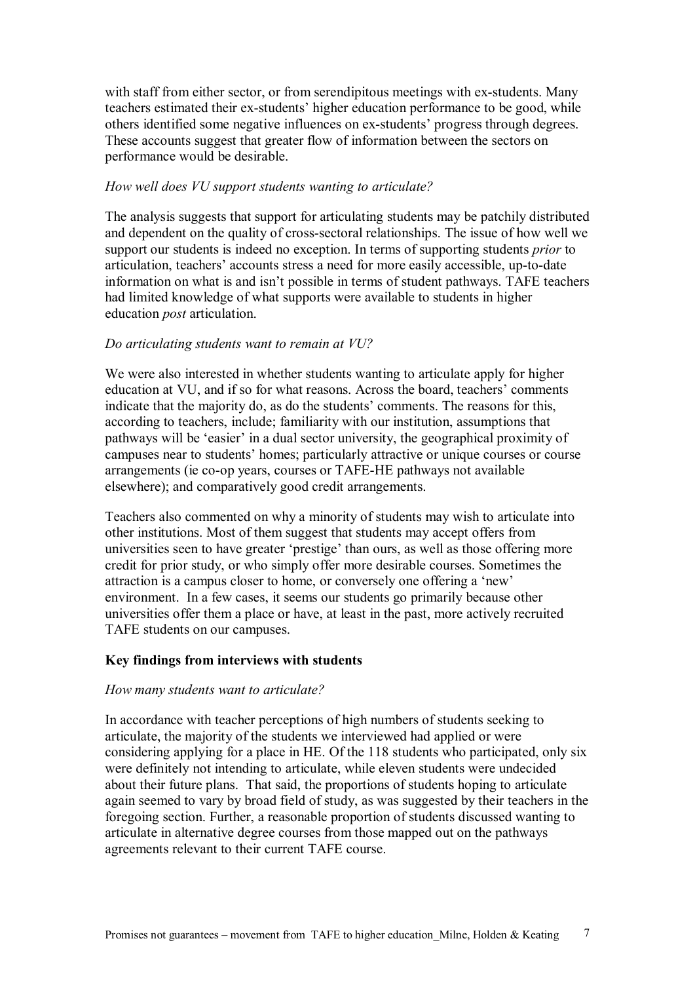with staff from either sector, or from serendipitous meetings with ex-students. Many teachers estimated their ex-students' higher education performance to be good, while others identified some negative influences on ex-students' progress through degrees. These accounts suggest that greater flow of information between the sectors on performance would be desirable.

## *How well does VU support students wanting to articulate?*

The analysis suggests that support for articulating students may be patchily distributed and dependent on the quality of cross-sectoral relationships. The issue of how well we support our students is indeed no exception. In terms of supporting students *prior* to articulation, teachers' accounts stress a need for more easily accessible, up-to-date information on what is and isn't possible in terms of student pathways. TAFE teachers had limited knowledge of what supports were available to students in higher education *post* articulation.

## *Do articulating students want to remain at VU?*

We were also interested in whether students wanting to articulate apply for higher education at VU, and if so for what reasons. Across the board, teachers' comments indicate that the majority do, as do the students' comments. The reasons for this, according to teachers, include; familiarity with our institution, assumptions that pathways will be 'easier' in a dual sector university, the geographical proximity of campuses near to students' homes; particularly attractive or unique courses or course arrangements (ie co-op years, courses or TAFE-HE pathways not available elsewhere); and comparatively good credit arrangements.

Teachers also commented on why a minority of students may wish to articulate into other institutions. Most of them suggest that students may accept offers from universities seen to have greater 'prestige' than ours, as well as those offering more credit for prior study, or who simply offer more desirable courses. Sometimes the attraction is a campus closer to home, or conversely one offering a 'new' environment. In a few cases, it seems our students go primarily because other universities offer them a place or have, at least in the past, more actively recruited TAFE students on our campuses.

## **Key findings from interviews with students**

## *How many students want to articulate?*

In accordance with teacher perceptions of high numbers of students seeking to articulate, the majority of the students we interviewed had applied or were considering applying for a place in HE. Of the 118 students who participated, only six were definitely not intending to articulate, while eleven students were undecided about their future plans. That said, the proportions of students hoping to articulate again seemed to vary by broad field of study, as was suggested by their teachers in the foregoing section. Further, a reasonable proportion of students discussed wanting to articulate in alternative degree courses from those mapped out on the pathways agreements relevant to their current TAFE course.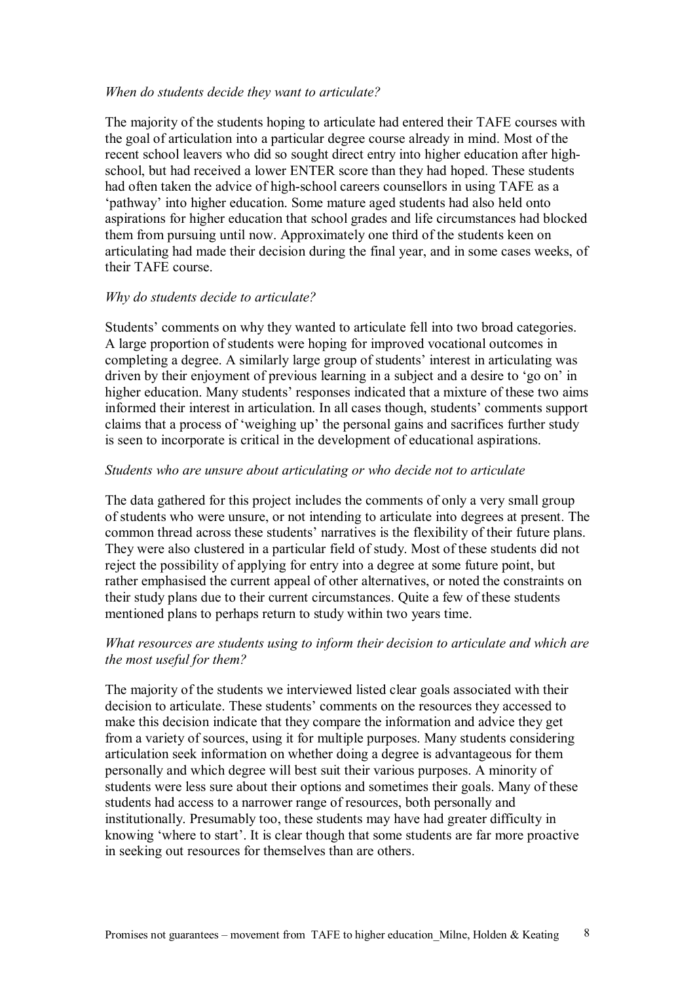#### *When do students decide they want to articulate?*

The majority of the students hoping to articulate had entered their TAFE courses with the goal of articulation into a particular degree course already in mind. Most of the recent school leavers who did so sought direct entry into higher education after high school, but had received a lower ENTER score than they had hoped. These students had often taken the advice of high-school careers counsellors in using TAFE as a 'pathway' into higher education. Some mature aged students had also held onto aspirations for higher education that school grades and life circumstances had blocked them from pursuing until now. Approximately one third of the students keen on articulating had made their decision during the final year, and in some cases weeks, of their TAFE course.

## *Why do students decide to articulate?*

Students' comments on why they wanted to articulate fell into two broad categories. A large proportion of students were hoping for improved vocational outcomes in completing a degree. A similarly large group of students' interest in articulating was driven by their enjoyment of previous learning in a subject and a desire to 'go on' in higher education. Many students' responses indicated that a mixture of these two aims informed their interest in articulation. In all cases though, students' comments support claims that a process of 'weighing up' the personal gains and sacrifices further study is seen to incorporate is critical in the development of educational aspirations.

## *Students who are unsure about articulating or who decide not to articulate*

The data gathered for this project includes the comments of only a very small group of students who were unsure, or not intending to articulate into degrees at present. The common thread across these students' narratives is the flexibility of their future plans. They were also clustered in a particular field of study. Most of these students did not reject the possibility of applying for entry into a degree at some future point, but rather emphasised the current appeal of other alternatives, or noted the constraints on their study plans due to their current circumstances. Quite a few of these students mentioned plans to perhaps return to study within two years time.

## *What resources are students using to inform their decision to articulate and which are the most useful for them?*

The majority of the students we interviewed listed clear goals associated with their decision to articulate. These students' comments on the resources they accessed to make this decision indicate that they compare the information and advice they get from a variety of sources, using it for multiple purposes. Many students considering articulation seek information on whether doing a degree is advantageous for them personally and which degree will best suit their various purposes. A minority of students were less sure about their options and sometimes their goals. Many of these students had access to a narrower range of resources, both personally and institutionally. Presumably too, these students may have had greater difficulty in knowing 'where to start'. It is clear though that some students are far more proactive in seeking out resources for themselves than are others.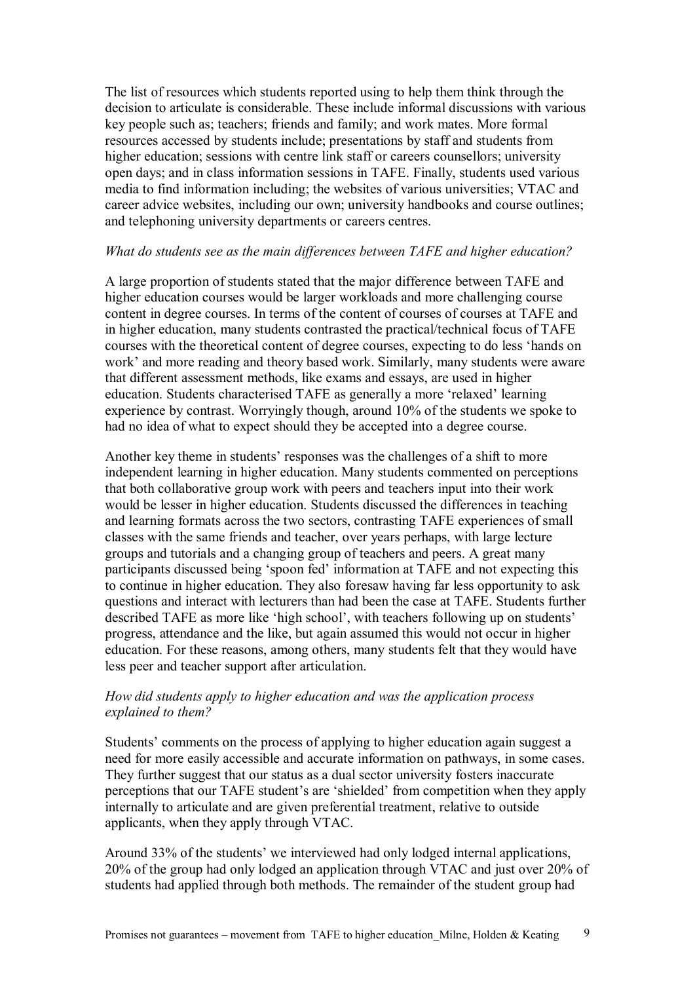The list of resources which students reported using to help them think through the decision to articulate is considerable. These include informal discussions with various key people such as; teachers; friends and family; and work mates. More formal resources accessed by students include; presentations by staff and students from higher education; sessions with centre link staff or careers counsellors; university open days; and in class information sessions in TAFE. Finally, students used various media to find information including; the websites of various universities; VTAC and career advice websites, including our own; university handbooks and course outlines; and telephoning university departments or careers centres.

## *What do students see as the main differences between TAFE and higher education?*

A large proportion of students stated that the major difference between TAFE and higher education courses would be larger workloads and more challenging course content in degree courses. In terms of the content of courses of courses at TAFE and in higher education, many students contrasted the practical/technical focus of TAFE courses with the theoretical content of degree courses, expecting to do less 'hands on work' and more reading and theory based work. Similarly, many students were aware that different assessment methods, like exams and essays, are used in higher education. Students characterised TAFE as generally a more 'relaxed' learning experience by contrast. Worryingly though, around 10% of the students we spoke to had no idea of what to expect should they be accepted into a degree course.

Another key theme in students' responses was the challenges of a shift to more independent learning in higher education. Many students commented on perceptions that both collaborative group work with peers and teachers input into their work would be lesser in higher education. Students discussed the differences in teaching and learning formats across the two sectors, contrasting TAFE experiences of small classes with the same friends and teacher, over years perhaps, with large lecture groups and tutorials and a changing group of teachers and peers. A great many participants discussed being 'spoon fed' information at TAFE and not expecting this to continue in higher education. They also foresaw having far less opportunity to ask questions and interact with lecturers than had been the case at TAFE. Students further described TAFE as more like 'high school', with teachers following up on students' progress, attendance and the like, but again assumed this would not occur in higher education. For these reasons, among others, many students felt that they would have less peer and teacher support after articulation.

## *How did students apply to higher education and was the application process explained to them?*

Students' comments on the process of applying to higher education again suggest a need for more easily accessible and accurate information on pathways, in some cases. They further suggest that our status as a dual sector university fosters inaccurate perceptions that our TAFE student's are 'shielded' from competition when they apply internally to articulate and are given preferential treatment, relative to outside applicants, when they apply through VTAC.

Around 33% of the students' we interviewed had only lodged internal applications, 20% of the group had only lodged an application through VTAC and just over 20% of students had applied through both methods. The remainder of the student group had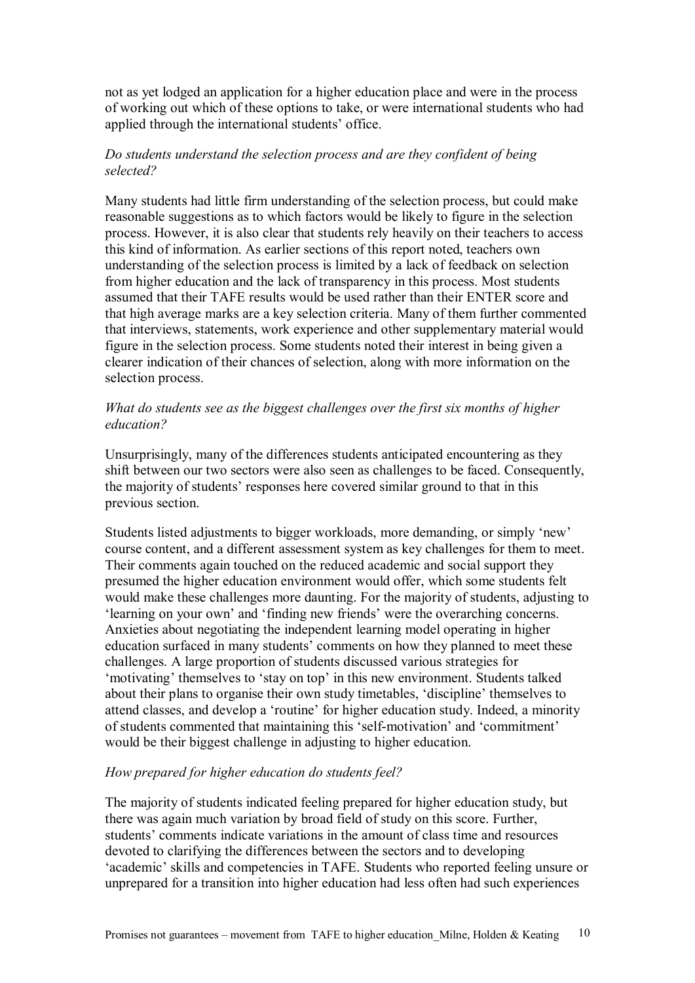not as yet lodged an application for a higher education place and were in the process of working out which of these options to take, or were international students who had applied through the international students' office.

## *Do students understand the selection process and are they confident of being selected?*

Many students had little firm understanding of the selection process, but could make reasonable suggestions as to which factors would be likely to figure in the selection process. However, it is also clear that students rely heavily on their teachers to access this kind of information. As earlier sections of this report noted, teachers own understanding of the selection process is limited by a lack of feedback on selection from higher education and the lack of transparency in this process. Most students assumed that their TAFE results would be used rather than their ENTER score and that high average marks are a key selection criteria. Many of them further commented that interviews, statements, work experience and other supplementary material would figure in the selection process. Some students noted their interest in being given a clearer indication of their chances of selection, along with more information on the selection process.

## *What do students see as the biggest challenges over the first six months of higher education?*

Unsurprisingly, many of the differences students anticipated encountering as they shift between our two sectors were also seen as challenges to be faced. Consequently, the majority of students' responses here covered similar ground to that in this previous section.

Students listed adjustments to bigger workloads, more demanding, or simply 'new' course content, and a different assessment system as key challenges for them to meet. Their comments again touched on the reduced academic and social support they presumed the higher education environment would offer, which some students felt would make these challenges more daunting. For the majority of students, adjusting to 'learning on your own' and 'finding new friends' were the overarching concerns. Anxieties about negotiating the independent learning model operating in higher education surfaced in many students' comments on how they planned to meet these challenges. A large proportion of students discussed various strategies for 'motivating' themselves to 'stay on top' in this new environment. Students talked about their plans to organise their own study timetables, 'discipline' themselves to attend classes, and develop a 'routine' for higher education study. Indeed, a minority of students commented that maintaining this 'self-motivation' and 'commitment' would be their biggest challenge in adjusting to higher education.

## *How prepared for higher education do students feel?*

The majority of students indicated feeling prepared for higher education study, but there was again much variation by broad field of study on this score. Further, students' comments indicate variations in the amount of class time and resources devoted to clarifying the differences between the sectors and to developing 'academic' skills and competencies in TAFE. Students who reported feeling unsure or unprepared for a transition into higher education had less often had such experiences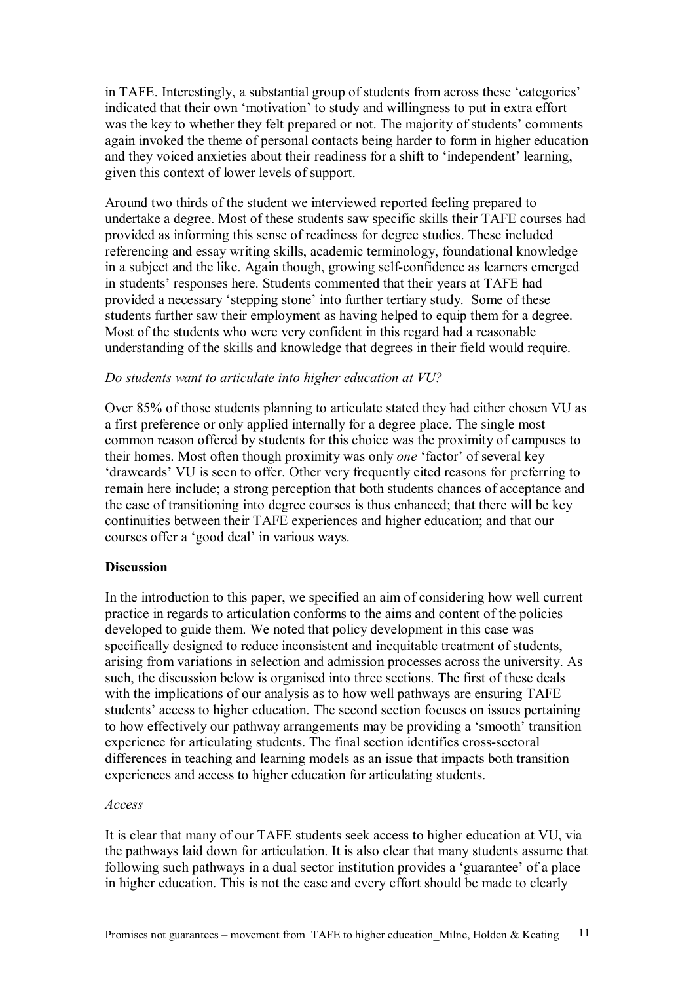in TAFE. Interestingly, a substantial group of students from across these 'categories' indicated that their own 'motivation' to study and willingness to put in extra effort was the key to whether they felt prepared or not. The majority of students' comments again invoked the theme of personal contacts being harder to form in higher education and they voiced anxieties about their readiness for a shift to 'independent' learning, given this context of lower levels of support.

Around two thirds of the student we interviewed reported feeling prepared to undertake a degree. Most of these students saw specific skills their TAFE courses had provided as informing this sense of readiness for degree studies. These included referencing and essay writing skills, academic terminology, foundational knowledge in a subject and the like. Again though, growing self-confidence as learners emerged in students' responses here. Students commented that their years at TAFE had provided a necessary 'stepping stone' into further tertiary study. Some of these students further saw their employment as having helped to equip them for a degree. Most of the students who were very confident in this regard had a reasonable understanding of the skills and knowledge that degrees in their field would require.

#### *Do students want to articulate into higher education at VU?*

Over 85% of those students planning to articulate stated they had either chosen VU as a first preference or only applied internally for a degree place. The single most common reason offered by students for this choice was the proximity of campuses to their homes. Most often though proximity was only *one* 'factor' of several key 'drawcards' VU is seen to offer. Other very frequently cited reasons for preferring to remain here include; a strong perception that both students chances of acceptance and the ease of transitioning into degree courses is thus enhanced; that there will be key continuities between their TAFE experiences and higher education; and that our courses offer a 'good deal' in various ways.

## **Discussion**

In the introduction to this paper, we specified an aim of considering how well current practice in regards to articulation conforms to the aims and content of the policies developed to guide them. We noted that policy development in this case was specifically designed to reduce inconsistent and inequitable treatment of students, arising from variations in selection and admission processes across the university. As such, the discussion below is organised into three sections. The first of these deals with the implications of our analysis as to how well pathways are ensuring TAFE students' access to higher education. The second section focuses on issues pertaining to how effectively our pathway arrangements may be providing a 'smooth' transition experience for articulating students. The final section identifies cross-sectoral differences in teaching and learning models as an issue that impacts both transition experiences and access to higher education for articulating students.

#### *Access*

It is clear that many of our TAFE students seek access to higher education at VU, via the pathways laid down for articulation. It is also clear that many students assume that following such pathways in a dual sector institution provides a 'guarantee' of a place in higher education. This is not the case and every effort should be made to clearly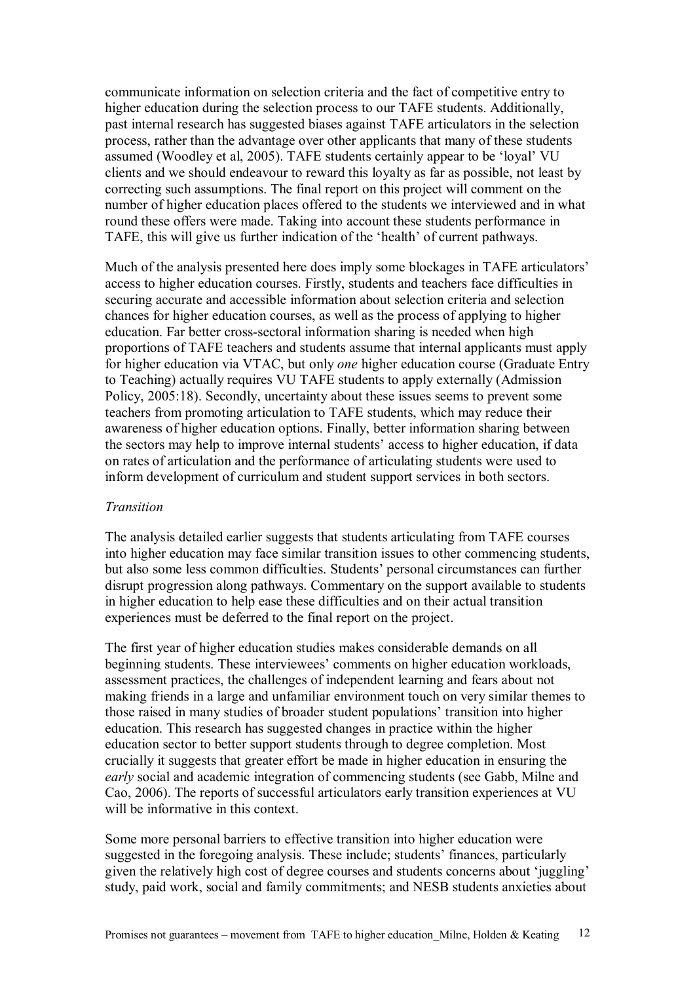communicate information on selection criteria and the fact of competitive entry to higher education during the selection process to our TAFE students. Additionally, past internal research has suggested biases against TAFE articulators in the selection process, rather than the advantage over other applicants that many of these students assumed (Woodley et al, 2005). TAFE students certainly appear to be 'loyal' VU clients and we should endeavour to reward this loyalty as far as possible, not least by correcting such assumptions. The final report on this project will comment on the number of higher education places offered to the students we interviewed and in what round these offers were made. Taking into account these students performance in TAFE, this will give us further indication of the 'health' of current pathways.

Much of the analysis presented here does imply some blockages in TAFE articulators' access to higher education courses. Firstly, students and teachers face difficulties in securing accurate and accessible information about selection criteria and selection chances for higher education courses, as well as the process of applying to higher education. Far better cross-sectoral information sharing is needed when high proportions of TAFE teachers and students assume that internal applicants must apply for higher education via VTAC, but only *one* higher education course (Graduate Entry to Teaching) actually requires VU TAFE students to apply externally (Admission Policy, 2005:18). Secondly, uncertainty about these issues seems to prevent some teachers from promoting articulation to TAFE students, which may reduce their awareness of higher education options. Finally, better information sharing between the sectors may help to improve internal students' access to higher education, if data on rates of articulation and the performance of articulating students were used to inform development of curriculum and student support services in both sectors.

#### *Transition*

The analysis detailed earlier suggests that students articulating from TAFE courses into higher education may face similar transition issues to other commencing students, but also some less common difficulties. Students' personal circumstances can further disrupt progression along pathways. Commentary on the support available to students in higher education to help ease these difficulties and on their actual transition experiences must be deferred to the final report on the project.

The first year of higher education studies makes considerable demands on all beginning students. These interviewees' comments on higher education workloads, assessment practices, the challenges of independent learning and fears about not making friends in a large and unfamiliar environment touch on very similar themes to those raised in many studies of broader student populations' transition into higher education. This research has suggested changes in practice within the higher education sector to better support students through to degree completion. Most crucially it suggests that greater effort be made in higher education in ensuring the *early* social and academic integration of commencing students (see Gabb, Milne and Cao, 2006). The reports of successful articulators early transition experiences at VU will be informative in this context.

Some more personal barriers to effective transition into higher education were suggested in the foregoing analysis. These include; students' finances, particularly given the relatively high cost of degree courses and students concerns about 'juggling' study, paid work, social and family commitments; and NESB students anxieties about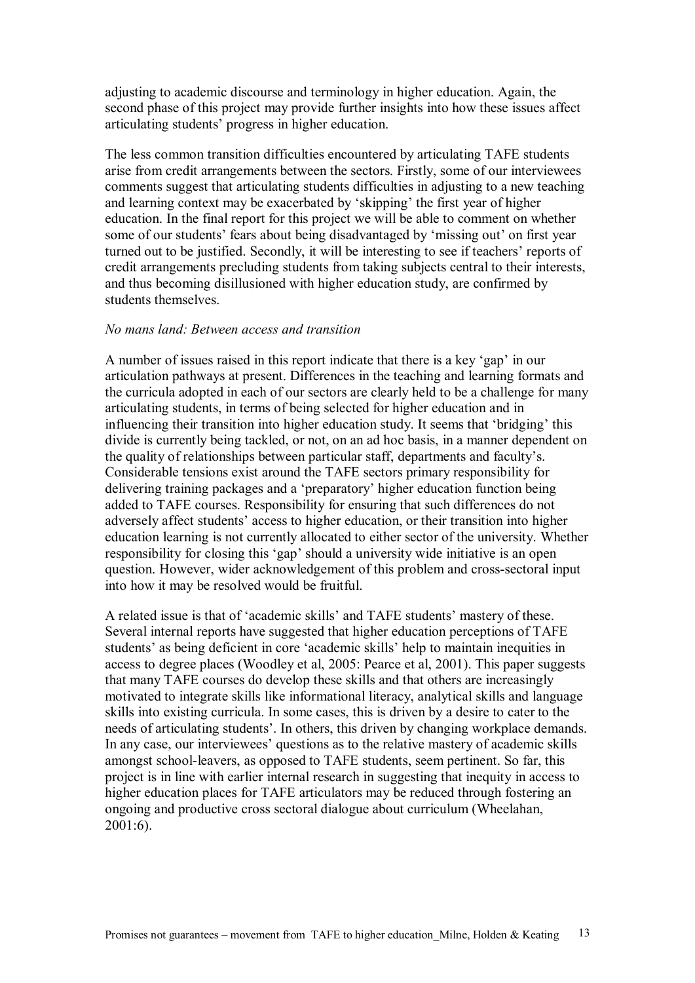adjusting to academic discourse and terminology in higher education. Again, the second phase of this project may provide further insights into how these issues affect articulating students' progress in higher education.

The less common transition difficulties encountered by articulating TAFE students arise from credit arrangements between the sectors. Firstly, some of our interviewees comments suggest that articulating students difficulties in adjusting to a new teaching and learning context may be exacerbated by 'skipping' the first year of higher education. In the final report for this project we will be able to comment on whether some of our students' fears about being disadvantaged by 'missing out' on first year turned out to be justified. Secondly, it will be interesting to see if teachers' reports of credit arrangements precluding students from taking subjects central to their interests, and thus becoming disillusioned with higher education study, are confirmed by students themselves.

## *No mans land: Between access and transition*

A number of issues raised in this report indicate that there is a key 'gap' in our articulation pathways at present. Differences in the teaching and learning formats and the curricula adopted in each of our sectors are clearly held to be a challenge for many articulating students, in terms of being selected for higher education and in influencing their transition into higher education study. It seems that 'bridging' this divide is currently being tackled, or not, on an ad hoc basis, in a manner dependent on the quality of relationships between particular staff, departments and faculty's. Considerable tensions exist around the TAFE sectors primary responsibility for delivering training packages and a 'preparatory' higher education function being added to TAFE courses. Responsibility for ensuring that such differences do not adversely affect students' access to higher education, or their transition into higher education learning is not currently allocated to either sector of the university. Whether responsibility for closing this 'gap' should a university wide initiative is an open question. However, wider acknowledgement of this problem and cross-sectoral input into how it may be resolved would be fruitful.

A related issue is that of 'academic skills' and TAFE students' mastery of these. Several internal reports have suggested that higher education perceptions of TAFE students' as being deficient in core 'academic skills' help to maintain inequities in access to degree places (Woodley et al, 2005: Pearce et al, 2001). This paper suggests that many TAFE courses do develop these skills and that others are increasingly motivated to integrate skills like informational literacy, analytical skills and language skills into existing curricula. In some cases, this is driven by a desire to cater to the needs of articulating students'. In others, this driven by changing workplace demands. In any case, our interviewees' questions as to the relative mastery of academic skills amongst school-leavers, as opposed to TAFE students, seem pertinent. So far, this project is in line with earlier internal research in suggesting that inequity in access to higher education places for TAFE articulators may be reduced through fostering an ongoing and productive cross sectoral dialogue about curriculum (Wheelahan, 2001:6).